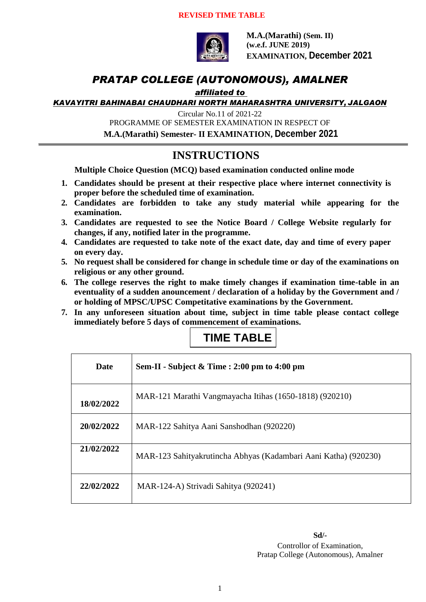

**M.A.(Marathi) (Sem. II) (w.e.f. JUNE 2019) EXAMINATION, December 2021**

### *PRATAP COLLEGE (AUTONOMOUS), AMALNER*

#### *affiliated to*

*KAVAYITRI BAHINABAI CHAUDHARI NORTH MAHARASHTRA UNIVERSITY, JALGAON*

Circular No.11 of 2021-22

PROGRAMME OF SEMESTER EXAMINATION IN RESPECT OF

**M.A.(Marathi) Semester- II EXAMINATION, December 2021**

#### **INSTRUCTIONS**

**Multiple Choice Question (MCQ) based examination conducted online mode**

- **1. Candidates should be present at their respective place where internet connectivity is proper before the scheduled time of examination.**
- **2. Candidates are forbidden to take any study material while appearing for the examination.**
- **3. Candidates are requested to see the Notice Board / College Website regularly for changes, if any, notified later in the programme.**
- **4. Candidates are requested to take note of the exact date, day and time of every paper on every day.**
- **5. No request shall be considered for change in schedule time or day of the examinations on religious or any other ground.**
- **6. The college reserves the right to make timely changes if examination time-table in an eventuality of a sudden anouncement / declaration of a holiday by the Government and / or holding of MPSC/UPSC Competitative examinations by the Government.**
- **7. In any unforeseen situation about time, subject in time table please contact college immediately before 5 days of commencement of examinations.**

# **TIME TABLE**

| <b>Date</b> | Sem-II - Subject & Time : 2:00 pm to 4:00 pm                    |
|-------------|-----------------------------------------------------------------|
| 18/02/2022  | MAR-121 Marathi Vangmayacha Itihas (1650-1818) (920210)         |
| 20/02/2022  | MAR-122 Sahitya Aani Sanshodhan (920220)                        |
| 21/02/2022  | MAR-123 Sahityakrutincha Abhyas (Kadambari Aani Katha) (920230) |
| 22/02/2022  | MAR-124-A) Strivadi Sahitya (920241)                            |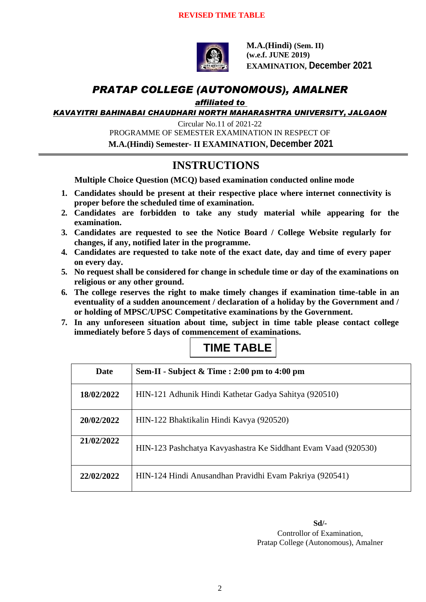

**M.A.(Hindi) (Sem. II) (w.e.f. JUNE 2019) EXAMINATION, December 2021**

### *PRATAP COLLEGE (AUTONOMOUS), AMALNER*

*affiliated to* 

*KAVAYITRI BAHINABAI CHAUDHARI NORTH MAHARASHTRA UNIVERSITY, JALGAON*

Circular No.11 of 2021-22 PROGRAMME OF SEMESTER EXAMINATION IN RESPECT OF **M.A.(Hindi) Semester- II EXAMINATION, December 2021**

#### **INSTRUCTIONS**

**Multiple Choice Question (MCQ) based examination conducted online mode**

- **1. Candidates should be present at their respective place where internet connectivity is proper before the scheduled time of examination.**
- **2. Candidates are forbidden to take any study material while appearing for the examination.**
- **3. Candidates are requested to see the Notice Board / College Website regularly for changes, if any, notified later in the programme.**
- **4. Candidates are requested to take note of the exact date, day and time of every paper on every day.**
- **5. No request shall be considered for change in schedule time or day of the examinations on religious or any other ground.**
- **6. The college reserves the right to make timely changes if examination time-table in an eventuality of a sudden anouncement / declaration of a holiday by the Government and / or holding of MPSC/UPSC Competitative examinations by the Government.**
- **7. In any unforeseen situation about time, subject in time table please contact college immediately before 5 days of commencement of examinations.**

## **TIME TABLE**

| Date       | Sem-II - Subject $\&$ Time : 2:00 pm to 4:00 pm                |
|------------|----------------------------------------------------------------|
| 18/02/2022 | HIN-121 Adhunik Hindi Kathetar Gadya Sahitya (920510)          |
| 20/02/2022 | HIN-122 Bhaktikalin Hindi Kavya (920520)                       |
| 21/02/2022 | HIN-123 Pashchatya Kavyashastra Ke Siddhant Evam Vaad (920530) |
| 22/02/2022 | HIN-124 Hindi Anusandhan Pravidhi Evam Pakriya (920541)        |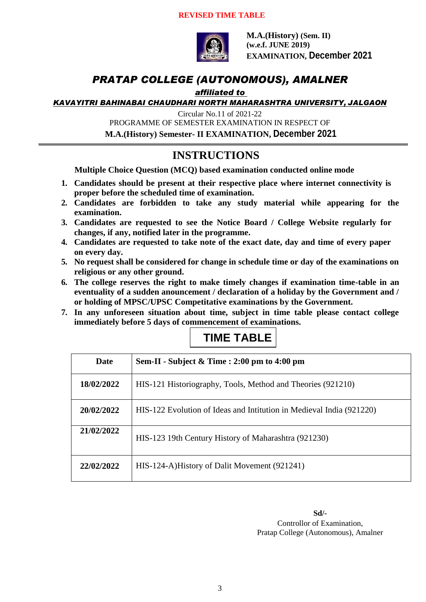

**M.A.(History) (Sem. II) (w.e.f. JUNE 2019) EXAMINATION, December 2021**

### *PRATAP COLLEGE (AUTONOMOUS), AMALNER*

#### *affiliated to*

*KAVAYITRI BAHINABAI CHAUDHARI NORTH MAHARASHTRA UNIVERSITY, JALGAON*

Circular No.11 of 2021-22

PROGRAMME OF SEMESTER EXAMINATION IN RESPECT OF

**M.A.(History) Semester- II EXAMINATION, December 2021**

#### **INSTRUCTIONS**

**Multiple Choice Question (MCQ) based examination conducted online mode**

- **1. Candidates should be present at their respective place where internet connectivity is proper before the scheduled time of examination.**
- **2. Candidates are forbidden to take any study material while appearing for the examination.**
- **3. Candidates are requested to see the Notice Board / College Website regularly for changes, if any, notified later in the programme.**
- **4. Candidates are requested to take note of the exact date, day and time of every paper on every day.**
- **5. No request shall be considered for change in schedule time or day of the examinations on religious or any other ground.**
- **6. The college reserves the right to make timely changes if examination time-table in an eventuality of a sudden anouncement / declaration of a holiday by the Government and / or holding of MPSC/UPSC Competitative examinations by the Government.**
- **7. In any unforeseen situation about time, subject in time table please contact college immediately before 5 days of commencement of examinations.**



| <b>Date</b> | Sem-II - Subject $&$ Time : 2:00 pm to 4:00 pm                       |
|-------------|----------------------------------------------------------------------|
| 18/02/2022  | HIS-121 Historiography, Tools, Method and Theories (921210)          |
| 20/02/2022  | HIS-122 Evolution of Ideas and Intitution in Medieval India (921220) |
| 21/02/2022  | HIS-123 19th Century History of Maharashtra (921230)                 |
| 22/02/2022  | HIS-124-A)History of Dalit Movement (921241)                         |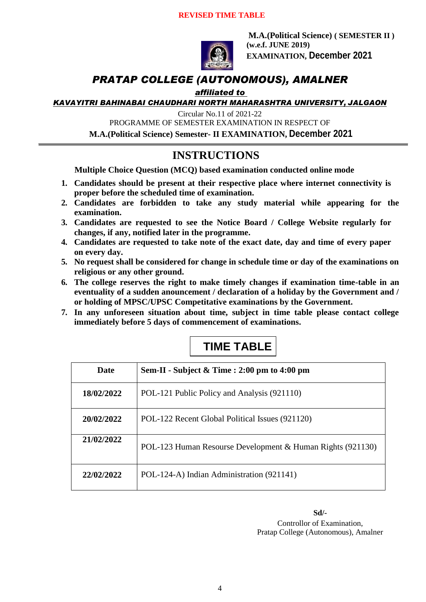

**M.A.(Political Science) ( SEMESTER II ) (w.e.f. JUNE 2019) EXAMINATION, December 2021**

### *PRATAP COLLEGE (AUTONOMOUS), AMALNER*

#### *affiliated to*

*KAVAYITRI BAHINABAI CHAUDHARI NORTH MAHARASHTRA UNIVERSITY, JALGAON*

Circular No.11 of 2021-22

PROGRAMME OF SEMESTER EXAMINATION IN RESPECT OF

**M.A.(Political Science) Semester- II EXAMINATION, December 2021**

#### **INSTRUCTIONS**

**Multiple Choice Question (MCQ) based examination conducted online mode**

- **1. Candidates should be present at their respective place where internet connectivity is proper before the scheduled time of examination.**
- **2. Candidates are forbidden to take any study material while appearing for the examination.**
- **3. Candidates are requested to see the Notice Board / College Website regularly for changes, if any, notified later in the programme.**
- **4. Candidates are requested to take note of the exact date, day and time of every paper on every day.**
- **5. No request shall be considered for change in schedule time or day of the examinations on religious or any other ground.**
- **6. The college reserves the right to make timely changes if examination time-table in an eventuality of a sudden anouncement / declaration of a holiday by the Government and / or holding of MPSC/UPSC Competitative examinations by the Government.**
- **7. In any unforeseen situation about time, subject in time table please contact college immediately before 5 days of commencement of examinations.**

## **TIME TABLE**

| <b>Date</b> | Sem-II - Subject & Time : 2:00 pm to 4:00 pm               |
|-------------|------------------------------------------------------------|
| 18/02/2022  | POL-121 Public Policy and Analysis (921110)                |
| 20/02/2022  | POL-122 Recent Global Political Issues (921120)            |
| 21/02/2022  | POL-123 Human Resourse Development & Human Rights (921130) |
| 22/02/2022  | POL-124-A) Indian Administration (921141)                  |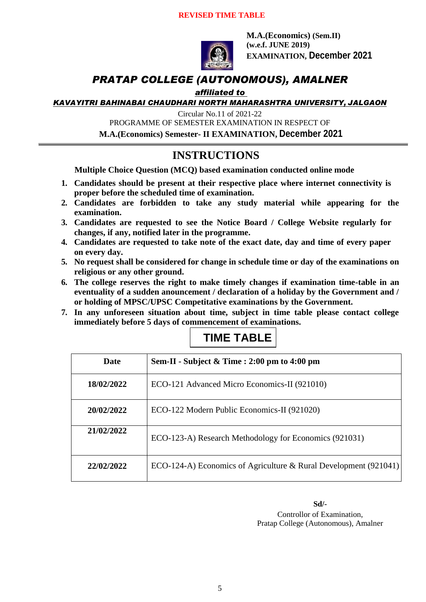

**M.A.(Economics) (Sem.II) (w.e.f. JUNE 2019) EXAMINATION, December 2021**

### *PRATAP COLLEGE (AUTONOMOUS), AMALNER*

#### *affiliated to*

*KAVAYITRI BAHINABAI CHAUDHARI NORTH MAHARASHTRA UNIVERSITY, JALGAON*

Circular No.11 of 2021-22

PROGRAMME OF SEMESTER EXAMINATION IN RESPECT OF

**M.A.(Economics) Semester- II EXAMINATION, December 2021**

#### **INSTRUCTIONS**

**Multiple Choice Question (MCQ) based examination conducted online mode**

- **1. Candidates should be present at their respective place where internet connectivity is proper before the scheduled time of examination.**
- **2. Candidates are forbidden to take any study material while appearing for the examination.**
- **3. Candidates are requested to see the Notice Board / College Website regularly for changes, if any, notified later in the programme.**
- **4. Candidates are requested to take note of the exact date, day and time of every paper on every day.**
- **5. No request shall be considered for change in schedule time or day of the examinations on religious or any other ground.**
- **6. The college reserves the right to make timely changes if examination time-table in an eventuality of a sudden anouncement / declaration of a holiday by the Government and / or holding of MPSC/UPSC Competitative examinations by the Government.**
- **7. In any unforeseen situation about time, subject in time table please contact college immediately before 5 days of commencement of examinations.**



| <b>Date</b> | Sem-II - Subject $\&$ Time : 2:00 pm to 4:00 pm                  |
|-------------|------------------------------------------------------------------|
| 18/02/2022  | ECO-121 Advanced Micro Economics-II (921010)                     |
| 20/02/2022  | ECO-122 Modern Public Economics-II (921020)                      |
| 21/02/2022  | ECO-123-A) Research Methodology for Economics (921031)           |
| 22/02/2022  | ECO-124-A) Economics of Agriculture & Rural Development (921041) |